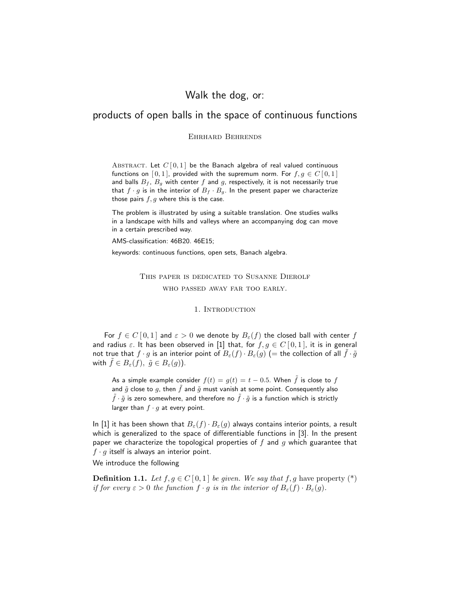# Walk the dog, or:

# products of open balls in the space of continuous functions

Ehrhard Behrends

ABSTRACT. Let  $C[0,1]$  be the Banach algebra of real valued continuous functions on [0,1], provided with the supremum norm. For  $f, g \in C[0,1]$ and balls  $B_f$ ,  $B_g$  with center f and g, respectively, it is not necessarily true that  $f \cdot g$  is in the interior of  $B_f \cdot B_g$ . In the present paper we characterize those pairs  $f, g$  where this is the case.

The problem is illustrated by using a suitable translation. One studies walks in a landscape with hills and valleys where an accompanying dog can move in a certain prescribed way.

AMS-classification: 46B20. 46E15;

keywords: continuous functions, open sets, Banach algebra.

This paper is dedicated to Susanne Dierolf who passed away far too early.

1. INTRODUCTION

For  $f \in C[0,1]$  and  $\varepsilon > 0$  we denote by  $B_{\varepsilon}(f)$  the closed ball with center f and radius  $\varepsilon$ . It has been observed in [1] that, for  $f, g \in C[0,1]$ , it is in general not true that  $f \cdot g$  is an interior point of  $B_{\varepsilon}(f) \cdot B_{\varepsilon}(g)$  (= the collection of all  $\tilde{f} \cdot \tilde{g}$ with  $f \in B_{\varepsilon}(f)$ ,  $\tilde{g} \in B_{\varepsilon}(g)$ ).

As a simple example consider  $f(t) = g(t) = t - 0.5$ . When  $\tilde{f}$  is close to f and  $\tilde{g}$  close to g, then  $\tilde{f}$  and  $\tilde{g}$  must vanish at some point. Consequently also  $\tilde{f} \cdot \tilde{g}$  is zero somewhere, and therefore no  $\tilde{f} \cdot \tilde{g}$  is a function which is strictly larger than  $f \cdot g$  at every point.

In [1] it has been shown that  $B_{\varepsilon}(f) \cdot B_{\varepsilon}(g)$  always contains interior points, a result which is generalized to the space of differentiable functions in [3]. In the present paper we characterize the topological properties of  $f$  and  $g$  which guarantee that  $f \cdot g$  itself is always an interior point.

We introduce the following

**Definition 1.1.** Let  $f, g \in C[0,1]$  be given. We say that f, g have property  $(*)$ if for every  $\varepsilon > 0$  the function  $f \cdot g$  is in the interior of  $B_{\varepsilon}(f) \cdot B_{\varepsilon}(g)$ .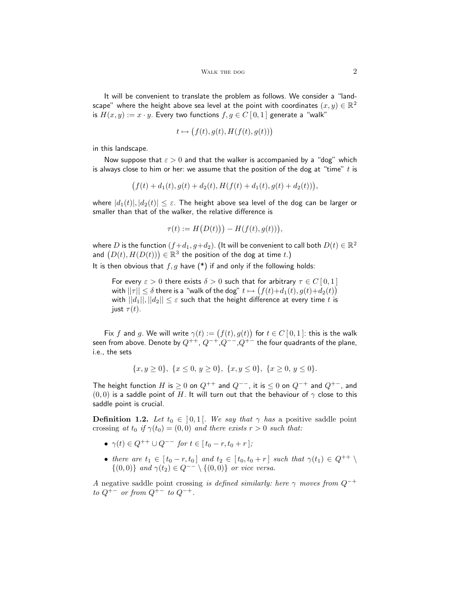It will be convenient to translate the problem as follows. We consider a "landscape" where the height above sea level at the point with coordinates  $(x,y) \in \mathbb{R}^2$ is  $H(x, y) := x \cdot y$ . Every two functions  $f, g \in C[0, 1]$  generate a "walk"

$$
t \mapsto (f(t), g(t), H(f(t), g(t)))
$$

in this landscape.

Now suppose that  $\varepsilon > 0$  and that the walker is accompanied by a "dog" which is always close to him or her: we assume that the position of the dog at "time"  $t$  is

$$
(f(t) + d_1(t), g(t) + d_2(t), H(f(t) + d_1(t), g(t) + d_2(t))),
$$

where  $|d_1(t)|, |d_2(t)| \leq \varepsilon$ . The height above sea level of the dog can be larger or smaller than that of the walker, the relative difference is

$$
\tau(t) := H\big(D(t)\big)\big) - H\big(f(t), g(t)\big)\big),
$$

where  $D$  is the function  $(f+d_1,g+d_2).$  (It will be convenient to call both  $D(t)\in\mathbb{R}^2$ and  $(D(t), H(D(t))) \in \mathbb{R}^3$  the position of the dog at time t.)

It is then obvious that  $f, g$  have  $(*)$  if and only if the following holds:

For every  $\varepsilon > 0$  there exists  $\delta > 0$  such that for arbitrary  $\tau \in C[0,1]$ with  $||\tau||\leq \delta$  there is a "walk of the dog"  $t\mapsto \big(f(t){+}d_1(t),g(t){+}d_2(t)\big)$ with  $||d_1||, ||d_2|| \leq \varepsilon$  such that the height difference at every time t is just  $\tau(t)$ .

Fix f and g. We will write  $\gamma(t) := (f(t), g(t))$  for  $t \in C [0, 1]$ : this is the walk seen from above. Denote by  $Q^{++}$ ,  $Q^{-+}$ ,  $Q^{--}$ ,  $Q^{+-}$  the four quadrants of the plane, i.e., the sets

$$
\{x, y \ge 0\}, \ \{x \le 0, y \ge 0\}, \ \{x, y \le 0\}, \ \{x \ge 0, y \le 0\}.
$$

The height function H is  $\geq 0$  on  $Q^{++}$  and  $Q^{--}$ , it is  $\leq 0$  on  $Q^{-+}$  and  $Q^{+-}$ , and  $(0, 0)$  is a saddle point of H. It will turn out that the behaviour of  $\gamma$  close to this saddle point is crucial.

**Definition 1.2.** Let  $t_0 \in [0, 1]$ . We say that  $\gamma$  has a positive saddle point crossing at  $t_0$  if  $\gamma(t_0) = (0, 0)$  and there exists  $r > 0$  such that:

- $\gamma(t) \in Q^{++} \cup Q^{--}$  for  $t \in [t_0 r, t_0 + r]$ ;
- there are  $t_1 \in [t_0 r, t_0]$  and  $t_2 \in [t_0, t_0 + r]$  such that  $\gamma(t_1) \in Q^{++} \setminus$  $\{(0,0)\}$  and  $\gamma(t_2) \in Q^{--} \setminus \{(0,0)\}$  or vice versa.

A negative saddle point crossing is defined similarly: here  $\gamma$  moves from  $Q^{-+}$ to  $Q^{+-}$  or from  $Q^{+-}$  to  $Q^{-+}$ .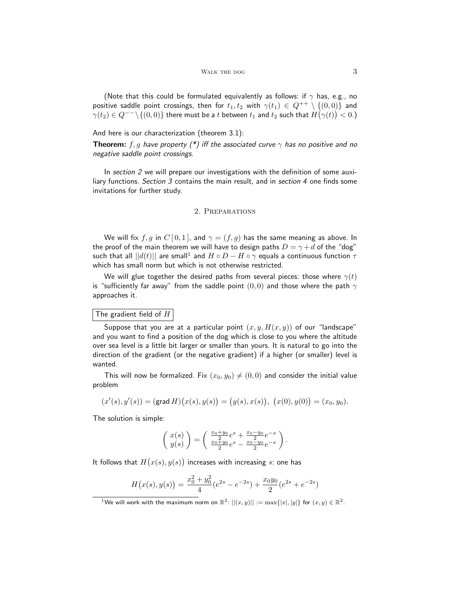(Note that this could be formulated equivalently as follows: if  $\gamma$  has, e.g., no positive saddle point crossings, then for  $t_1, t_2$  with  $\gamma(t_1) \in Q^{++} \setminus \{(0, 0)\}$  and  $\gamma(t_2)\in Q^{--}\backslash\{(0,0)\}$  there must be a  $t$  between  $t_1$  and  $t_2$  such that  $H\big(\gamma(t)\big)< 0.$  )

And here is our characterization (theorem 3.1):

**Theorem:** f, g have property (\*) iff the associated curve  $\gamma$  has no positive and no negative saddle point crossings.

In section 2 we will prepare our investigations with the definition of some auxiliary functions. Section 3 contains the main result, and in section 4 one finds some invitations for further study.

## 2. Preparations

We will fix f, g in  $C[0,1]$ , and  $\gamma = (f,g)$  has the same meaning as above. In the proof of the main theorem we will have to design paths  $D = \gamma + d$  of the "dog" such that all  $||d(t)||$  are small $^1$  and  $H \circ D - H \circ \gamma$  equals a continuous function  $\tau$ which has small norm but which is not otherwise restricted.

We will glue together the desired paths from several pieces: those where  $\gamma(t)$ is "sufficiently far away" from the saddle point  $(0,0)$  and those where the path  $\gamma$ approaches it.

## The gradient field of  $H$

Suppose that you are at a particular point  $(x, y, H(x, y))$  of our "landscape" and you want to find a position of the dog which is close to you where the altitude over sea level is a little bit larger or smaller than yours. It is natural to go into the direction of the gradient (or the negative gradient) if a higher (or smaller) level is wanted.

This will now be formalized. Fix  $(x_0, y_0) \neq (0, 0)$  and consider the initial value problem

$$
(x'(s), y'(s)) = (\text{grad } H)(x(s), y(s)) = (y(s), x(s)), (x(0), y(0)) = (x_0, y_0).
$$

The solution is simple:

$$
\left(\begin{array}{c}x(s)\\y(s)\end{array}\right)=\left(\begin{array}{c}\frac{x_0+y_0}{2}e^s+\frac{x_0-y_0}{2}e^{-s}\\ \frac{x_0+y_0}{2}e^s-\frac{x_0-y_0}{2}e^{-s}\end{array}\right).
$$

It follows that  $H\big(x(s),y(s)\big)$  increases with increasing  $s\colon$  one has

$$
H(x(s), y(s)) = \frac{x_0^2 + y_0^2}{4}(e^{2s} - e^{-2s}) + \frac{x_0 y_0}{2}(e^{2s} + e^{-2s})
$$

<sup>&</sup>lt;sup>1</sup>We will work with the maximum norm on  $\mathbb{R}^2$ :  $||(x, y)|| := \max\{|x|, |y|\}$  for  $(x, y) \in \mathbb{R}^2$ .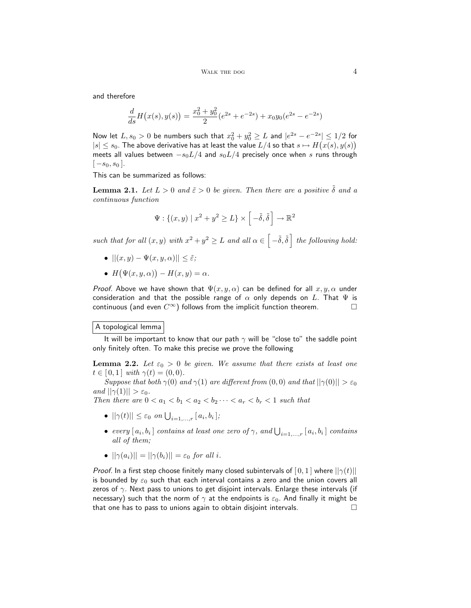and therefore

$$
\frac{d}{ds}H(x(s),y(s)) = \frac{x_0^2 + y_0^2}{2}(e^{2s} + e^{-2s}) + x_0y_0(e^{2s} - e^{-2s})
$$

Now let  $L, s_0 > 0$  be numbers such that  $x_0^2 + y_0^2 \geq L$  and  $|e^{2s} - e^{-2s}| \leq 1/2$  for  $|s| \leq s_0.$  The above derivative has at least the value  $L/4$  so that  $s \mapsto H\big(x(s), y(s)\big)$ meets all values between  $-s_0L/4$  and  $s_0L/4$  precisely once when s runs through  $[-s_0, s_0]$ .

This can be summarized as follows:

**Lemma 2.1.** Let  $L > 0$  and  $\tilde{\varepsilon} > 0$  be given. Then there are a positive  $\tilde{\delta}$  and a continuous function

$$
\Psi: \{(x, y) \mid x^2 + y^2 \ge L\} \times \left[ -\tilde{\delta}, \tilde{\delta} \right] \to \mathbb{R}^2
$$

such that for all  $(x, y)$  with  $x^2 + y^2 \geq L$  and all  $\alpha \in \left[-\tilde{\delta}, \tilde{\delta}\right]$  the following hold:

- $||(x, y) \Psi(x, y, \alpha)|| \leq \tilde{\varepsilon};$
- $H(\Psi(x, y, \alpha)) H(x, y) = \alpha.$

Proof. Above we have shown that  $\Psi(x, y, \alpha)$  can be defined for all  $x, y, \alpha$  under consideration and that the possible range of  $\alpha$  only depends on L. That  $\Psi$  is continuous (and even  $C^{\infty}$ ) follows from the implicit function theorem.

## A topological lemma

It will be important to know that our path  $\gamma$  will be "close to" the saddle point only finitely often. To make this precise we prove the following

**Lemma 2.2.** Let  $\varepsilon_0 > 0$  be given. We assume that there exists at least one  $t \in [0,1]$  with  $\gamma(t) = (0,0)$ .

Suppose that both  $\gamma(0)$  and  $\gamma(1)$  are different from  $(0,0)$  and that  $||\gamma(0)|| > \varepsilon_0$ and  $||\gamma(1)|| > \varepsilon_0$ .

Then there are  $0 < a_1 < b_1 < a_2 < b_2 \cdots < a_r < b_r < 1$  such that

- $||\gamma(t)|| \leq \varepsilon_0$  on  $\bigcup_{i=1,\dots,r} [a_i, b_i]$ ;
- every  $[a_i, b_i]$  contains at least one zero of  $\gamma$ , and  $\bigcup_{i=1,\dots,r} [a_i, b_i]$  contains all of them;
- $||\gamma(a_i)|| = ||\gamma(b_i)|| = \varepsilon_0$  for all i.

*Proof.* In a first step choose finitely many closed subintervals of  $[0,1]$  where  $||\gamma(t)||$ is bounded by  $\varepsilon_0$  such that each interval contains a zero and the union covers all zeros of  $\gamma$ . Next pass to unions to get disjoint intervals. Enlarge these intervals (if necessary) such that the norm of  $\gamma$  at the endpoints is  $\varepsilon_0$ . And finally it might be that one has to pass to unions again to obtain disjoint intervals.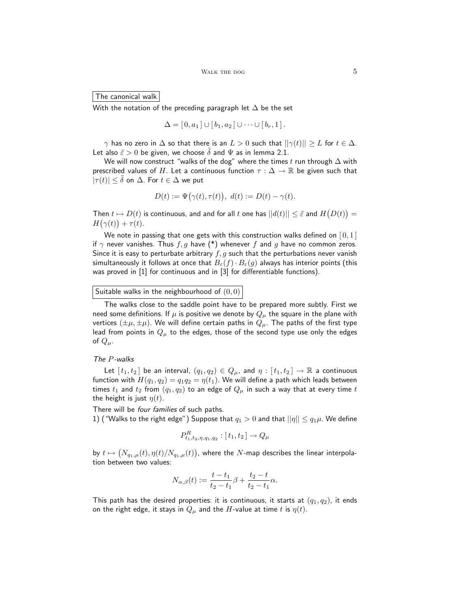The canonical walk

With the notation of the preceding paragraph let  $\Delta$  be the set

$$
\Delta = [0, a_1] \cup [b_1, a_2] \cup \cdots \cup [b_r, 1].
$$

 $\gamma$  has no zero in  $\Delta$  so that there is an  $L > 0$  such that  $||\gamma(t)|| \geq L$  for  $t \in \Delta$ . Let also  $\tilde{\varepsilon} > 0$  be given, we choose  $\tilde{\delta}$  and  $\Psi$  as in lemma 2.1.

We will now construct "walks of the dog" where the times t run through  $\Delta$  with prescribed values of H. Let a continuous function  $\tau : \Delta \to \mathbb{R}$  be given such that  $|\tau(t)| \leq \delta$  on  $\Delta$ . For  $t \in \Delta$  we put

$$
D(t) := \Psi(\gamma(t), \tau(t)), \ d(t) := D(t) - \gamma(t).
$$

Then  $t \mapsto D(t)$  is continuous, and and for all t one has  $||d(t)|| \leq \tilde{\varepsilon}$  and  $H(D(t)) =$  $H(\gamma(t)) + \tau(t).$ 

We note in passing that one gets with this construction walks defined on  $[0,1]$ if  $\gamma$  never vanishes. Thus  $f, g$  have  $(*)$  whenever  $f$  and  $g$  have no common zeros. Since it is easy to perturbate arbitrary  $f, g$  such that the perturbations never vanish simultaneously it follows at once that  $B_{\varepsilon}(f) \cdot B_{\varepsilon}(g)$  always has interior points (this was proved in [1] for continuous and in [3] for differentiable functions).

Suitable walks in the neighbourhood of  $(0,0)$ 

The walks close to the saddle point have to be prepared more subtly. First we need some definitions. If  $\mu$  is positive we denote by  $Q_{\mu}$  the square in the plane with vertices  $(\pm \mu, \pm \mu)$ . We will define certain paths in  $Q_{\mu}$ . The paths of the first type lead from points in  $Q_{\mu}$  to the edges, those of the second type use only the edges of  $Q_\mu$ .

## The P-walks

Let  $[t_1, t_2]$  be an interval,  $(q_1, q_2) \in Q_\mu$ , and  $\eta : [t_1, t_2] \to \mathbb{R}$  a continuous function with  $H(q_1, q_2) = q_1 q_2 = \eta(t_1)$ . We will define a path which leads between times  $t_1$  and  $t_2$  from  $(q_1, q_2)$  to an edge of  $Q_\mu$  in such a way that at every time  $t$ the height is just  $\eta(t)$ .

There will be four families of such paths.

1) ("Walks to the right edge") Suppose that  $q_1 > 0$  and that  $||\eta|| \leq q_1 \mu$ . We define

$$
P_{t_1,t_2,\eta,q_1,q_2}^R : [t_1,t_2] \to Q_\mu
$$

by  $t\mapsto \big(N_{q_1,\mu}(t),\eta(t)/N_{q_1,\mu}(t)\big)$ , where the  $N$ -map describes the linear interpolation between two values:

$$
N_{\alpha,\beta}(t) := \frac{t - t_1}{t_2 - t_1} \beta + \frac{t_2 - t}{t_2 - t_1} \alpha.
$$

This path has the desired properties: it is continuous, it starts at  $(q_1, q_2)$ , it ends on the right edge, it stays in  $Q_{\mu}$  and the H-value at time t is  $\eta(t)$ .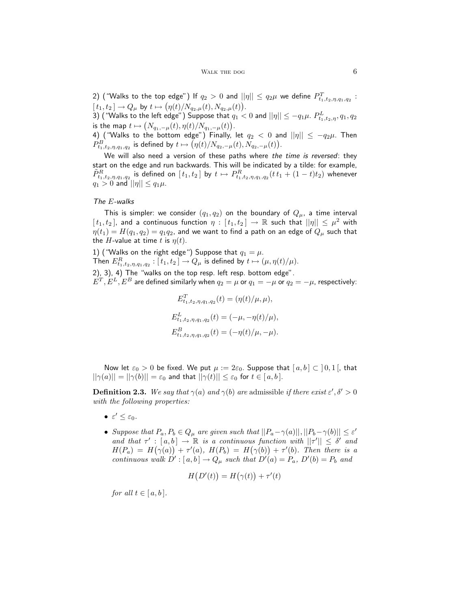2) ("Walks to the top edge") If  $q_2>0$  and  $||\eta||\leq q_2\mu$  we define  $P_{t_1,t_2,\eta,q_1,q_2}^T$  :  $[t_1, t_2] \to Q_\mu$  by  $t \mapsto (\eta(t)/N_{q_2,\mu}(t), N_{q_2,\mu}(t)).$ 

3) ("Walks to the left edge") Suppose that  $q_1 < 0$  and  $||\eta|| \leq -q_1 \mu$ .  $P^L_{t_1,t_2,\eta},q_1,q_2$ is the map  $t\mapsto \big(N_{q_1,-\mu}(t),\eta(t)/N_{q_1,-\mu}(t)\big).$ 

4) ("Walks to the bottom edge") Finally, let  $q_2 < 0$  and  $||\eta|| \le -q_2\mu$ . Then  $P^B_{t_1,t_2,\eta,q_1,q_2}$  is defined by  $t\mapsto \big(\eta(t)/N_{q_2,-\mu}(t), N_{q_2,-\mu}(t)\big).$ 

We will also need a version of these paths where the time is reversed: they start on the edge and run backwards. This will be indicated by a tilde: for example,  $\tilde{P}^R_{t_1,t_2,\eta,q_1,q_2}$  is defined on  $[\,t_1,t_2\,]\,$  by  $\,t\mapsto P^R_{t_1,t_2,\eta,q_1,q_2}(t\,t_1+(1-t)t_2)\,$  whenever  $q_1 > 0$  and  $||\eta|| \leq q_1 \mu$ .

## The E-walks

This is simpler: we consider  $(q_1, q_2)$  on the boundary of  $Q_\mu$ , a time interval  $[t_1, t_2]$ , and a continuous function  $\eta : [t_1, t_2] \to \mathbb{R}$  such that  $||\eta|| \leq \mu^2$  with  $\eta(t_1) = H(q_1, q_2) = q_1 q_2$ , and we want to find a path on an edge of  $Q_\mu$  such that the H-value at time t is  $\eta(t)$ .

1) ("Walks on the right edge") Suppose that  $q_1 = \mu$ . Then  $E^R_{t_1,t_2,\eta,q_1,q_2}:[t_1,t_2]\rightarrow Q_\mu$  is defined by  $t\mapsto (\mu,\eta(t)/\mu).$ 

2), 3), 4) The "walks on the top resp. left resp. bottom edge".  $E^T, E^L, E^B$  are defined similarly when  $q_2 = \mu$  or  $q_1 = -\mu$  or  $q_2 = -\mu$ , respectively:

$$
E_{t_1, t_2, \eta, q_1, q_2}^T(t) = (\eta(t)/\mu, \mu),
$$
  
\n
$$
E_{t_1, t_2, \eta, q_1, q_2}^L(t) = (-\mu, -\eta(t)/\mu),
$$
  
\n
$$
E_{t_1, t_2, \eta, q_1, q_2}^B(t) = (-\eta(t)/\mu, -\mu).
$$

Now let  $\varepsilon_0 > 0$  be fixed. We put  $\mu := 2\varepsilon_0$ . Suppose that  $[a, b] \subset [0, 1]$ , that  $||\gamma(a)|| = ||\gamma(b)|| = \varepsilon_0$  and that  $||\gamma(t)|| \leq \varepsilon_0$  for  $t \in [a, b]$ .

**Definition 2.3.** We say that  $\gamma(a)$  and  $\gamma(b)$  are admissible if there exist  $\varepsilon', \delta' > 0$ with the following properties:

- $\bullet \ \varepsilon' \leq \varepsilon_0.$
- Suppose that  $P_a, P_b \in Q_\mu$  are given such that  $||P_a \gamma(a)||, ||P_b \gamma(b)|| \leq \varepsilon'$ and that  $\tau' : [a, b] \to \mathbb{R}$  is a continuous function with  $||\tau'|| \leq \delta'$  and  $H(P_a) = H(\gamma(a)) + \tau'(a), H(P_b) = H(\gamma(b)) + \tau'(b).$  Then there is a continuous walk  $D' : [a, b] \to Q_\mu$  such that  $D'(a) = P_a$ ,  $D'(b) = P_b$  and

$$
H(D'(t)) = H(\gamma(t)) + \tau'(t)
$$

for all  $t \in [a, b]$ .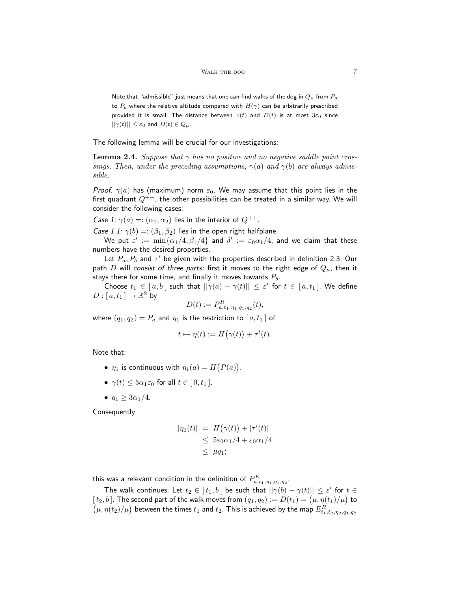Note that "admissible" just means that one can find walks of the dog in  $Q_{\mu}$  from  $P_a$ to  $P_b$  where the relative altitude compared with  $H(\gamma)$  can be arbitrarily prescribed provided it is small. The distance between  $\gamma(t)$  and  $D(t)$  is at most  $3\varepsilon_0$  since  $||\gamma(t)|| \leq \varepsilon_0$  and  $D(t) \in Q_\mu$ .

The following lemma will be crucial for our investigations:

**Lemma 2.4.** Suppose that  $\gamma$  has no positive and no negative saddle point crossings. Then, under the preceding assumptions,  $\gamma(a)$  and  $\gamma(b)$  are always admissible.

*Proof.*  $\gamma(a)$  has (maximum) norm  $\varepsilon_0$ . We may assume that this point lies in the first quadrant  $Q^{++}$ , the other possibilities can be treated in a similar way. We will consider the following cases:

Case 1:  $\gamma(a) =: (\alpha_1, \alpha_2)$  lies in the interior of  $Q^{++}$ .

Case 1.1:  $\gamma(b) =: (\beta_1, \beta_2)$  lies in the open right halfplane.

We put  $\varepsilon':=\,\min\{\alpha_1/4,\beta_1/4\}$  and  $\delta':=\,\varepsilon_0\alpha_1/4,$  and we claim that these numbers have the desired properties.

Let  $P_a, P_b$  and  $\tau'$  be given with the properties described in definition 2.3. Our path D will consist of three parts: first it moves to the right edge of  $Q_{\mu}$ , then it stays there for some time, and finally it moves towards  $P_b$ .

Choose  $t_1 \in [a, b]$  such that  $||\gamma(a) - \gamma(t)|| \leq \varepsilon'$  for  $t \in [a, t_1]$ . We define  $D: [\, a,t_1\,] \rightarrow {\mathbb R}^2$  by

$$
D(t) := P_{a,t_1,\eta_1,q_1,q_2}^R(t),
$$

where  $(q_1, q_2) = P_a$  and  $\eta_1$  is the restriction to  $[a, t_1]$  of

$$
t \mapsto \eta(t) := H(\gamma(t)) + \tau'(t).
$$

Note that:

- $\eta_1$  is continuous with  $\eta_1(a) = H(P(a)).$
- $\gamma(t)$  <  $5\alpha_1 \varepsilon_0$  for all  $t \in [0, t_1]$ .
- $q_1 \geq 3\alpha_1/4$ .

Consequently

$$
|\eta_1(t)| = H(\gamma(t)) + |\tau'(t)|
$$
  
\n
$$
\leq 5\varepsilon_0\alpha_1/4 + \varepsilon_0\alpha_1/4
$$
  
\n
$$
\leq \mu q_1;
$$

this was a relevant condition in the definition of  $P^R_{a,t_1,\eta_1,q_1,q_2}.$ 

The walk continues. Let  $t_2 \in \ ]t_1,b[$  be such that  $||\gamma(b)-\gamma(t)|| \leq \varepsilon'$  for  $t \in$  $[\,t_2,b\,].$  The second part of the walk moves from  $(q_1,q_2):=D(t_1)=\big(\mu,\eta(t_1)/\mu\big)$  to  $\big(\mu,\eta(t_2)/\mu\big)$  between the times  $t_1$  and  $t_2.$  This is achieved by the map  $E^R_{t_1,t_2,\eta_2,q_1,q_2}$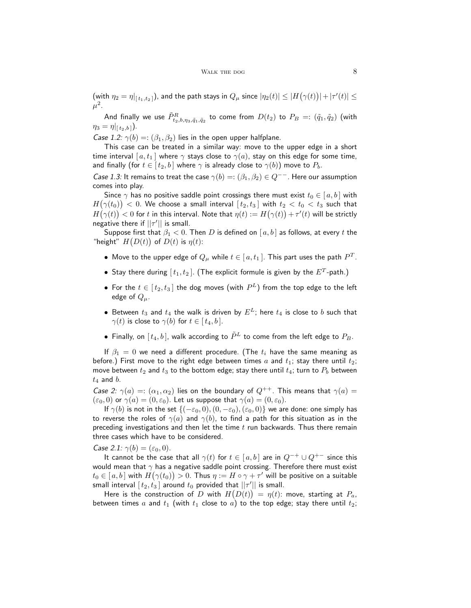(with  $\eta_2=\eta|_{[t_1,t_2]}$ ), and the path stays in  $Q_\mu$  since  $|\eta_2(t)|\leq |H\big(\gamma(t)\big)|+|\tau'(t)|\leq$  $\mu^2.$ 

And finally we use  $\tilde{P}^R_{t_2,b,\eta_3,\tilde{q}_1,\tilde{q}_2}$  to come from  $D(t_2)$  to  $P_B=:(\tilde{q}_1,\tilde{q}_2)$  (with  $\eta_3 = \eta|_{[t_2,b]}$ ).

Case 1.2:  $\gamma(b) =: (\beta_1, \beta_2)$  lies in the open upper halfplane.

This case can be treated in a similar way: move to the upper edge in a short time interval  $[a, t_1]$  where  $\gamma$  stays close to  $\gamma(a)$ , stay on this edge for some time, and finally (for  $t \in [t_2, b]$  where  $\gamma$  is already close to  $\gamma(b)$ ) move to  $P_b$ .

Case 1.3: It remains to treat the case  $\gamma(b) =: (\beta_1, \beta_2) \in Q^{--}$ . Here our assumption comes into play.

Since  $\gamma$  has no positive saddle point crossings there must exist  $t_0 \in [a, b]$  with  $H\big(\gamma(t_0)\big)< 0.$  We choose a small interval  $[\,t_2,t_3\,]$  with  $t_2 < t_0 < t_3$  such that  $H\big(\gamma(t)\big)< 0$  for  $t$  in this interval. Note that  $\eta(t):=H\big(\gamma(t)\big)+\tau'(t)$  will be strictly negative there if  $||\tau'||$  is small.

Suppose first that  $\beta_1 < 0$ . Then D is defined on  $[a, b]$  as follows, at every t the "height"  $H(D(t))$  of  $D(t)$  is  $\eta(t)$ :

- Move to the upper edge of  $Q_\mu$  while  $t\in [\,a,t_1\,].$  This part uses the path  $P^T.$
- $\bullet\,$  Stay there during  $[\,t_1,t_2\,]$ . (The explicit formule is given by the  $E^T\text{-path.}\,)$
- $\bullet\,$  For the  $t\in[\,t_2,t_3\,]$  the dog moves (with  $P^L)$  from the top edge to the left edge of  $Q_\mu$ .
- Between  $t_3$  and  $t_4$  the walk is driven by  $E^L$ ; here  $t_4$  is close to b such that  $\gamma(t)$  is close to  $\gamma(b)$  for  $t \in [t_4, b]$ .
- Finally, on  $[t_4, b]$ , walk according to  $\tilde{P}^L$  to come from the left edge to  $P_B$ .

If  $\beta_1 = 0$  we need a different procedure. (The  $t_i$  have the same meaning as before.) First move to the right edge between times  $a$  and  $t_1$ ; stay there until  $t_2$ ; move between  $t_2$  and  $t_3$  to the bottom edge; stay there until  $t_4$ ; turn to  $P_b$  between  $t_4$  and  $b$ .

Case 2:  $\gamma(a) =: (\alpha_1, \alpha_2)$  lies on the boundary of  $Q^{++}$ . This means that  $\gamma(a) =$  $(\varepsilon_0, 0)$  or  $\gamma(a) = (0, \varepsilon_0)$ . Let us suppose that  $\gamma(a) = (0, \varepsilon_0)$ .

If  $\gamma(b)$  is not in the set  $\{(-\varepsilon_0, 0), (0, -\varepsilon_0), (\varepsilon_0, 0)\}$  we are done: one simply has to reverse the roles of  $\gamma(a)$  and  $\gamma(b)$ , to find a path for this situation as in the preceding investigations and then let the time  $t$  run backwards. Thus there remain three cases which have to be considered.

Case 2.1:  $\gamma(b) = (\varepsilon_0, 0)$ .

It cannot be the case that all  $\gamma(t)$  for  $t \in [a, b]$  are in  $Q^{-+} \cup Q^{+-}$  since this would mean that  $\gamma$  has a negative saddle point crossing. Therefore there must exist  $t_0\in [\,a,b\,]$  with  $H\big(\gamma(t_0)\big)>0.$  Thus  $\eta:=H\circ \gamma+\tau'$  will be positive on a suitable small interval  $[\,t_2,t_3\,]$  around  $t_0$  provided that  $||\tau^\prime||$  is small.

Here is the construction of  $D$  with  $H\big(D(t)\big) \,=\, \eta(t)$ : move, starting at  $\,P_{a},\,$ between times a and  $t_1$  (with  $t_1$  close to a) to the top edge; stay there until  $t_2$ ;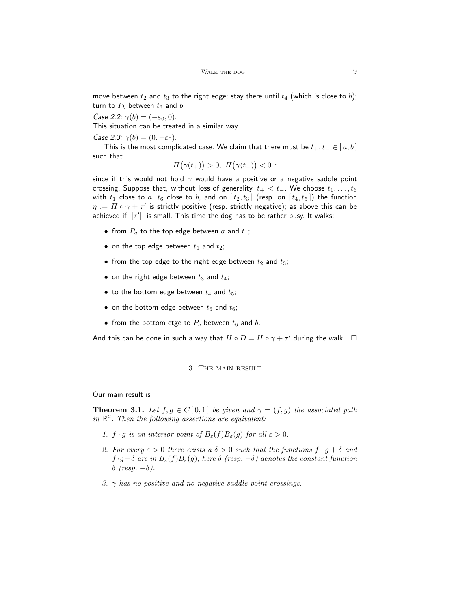move between  $t_2$  and  $t_3$  to the right edge; stay there until  $t_4$  (which is close to b); turn to  $P_b$  between  $t_3$  and  $b$ .

Case 2.2:  $\gamma(b) = (-\varepsilon_0, 0)$ .

This situation can be treated in a similar way.

Case 2.3:  $\gamma(b) = (0, -\varepsilon_0)$ .

This is the most complicated case. We claim that there must be  $t_+, t_- \in [a, b]$ such that

$$
H(\gamma(t_+)) > 0, H(\gamma(t_+)) < 0 :
$$

since if this would not hold  $\gamma$  would have a positive or a negative saddle point crossing. Suppose that, without loss of generality,  $t_{+} < t_{-}$ . We choose  $t_{1}, \ldots, t_{6}$ with  $t_1$  close to  $a$ ,  $t_6$  close to  $b$ , and on  $[t_2, t_3]$  (resp. on  $[t_4, t_5]$ ) the function  $\eta := H \circ \gamma + \tau'$  is strictly positive (resp. strictly negative); as above this can be achieved if  $||\tau'||$  is small. This time the dog has to be rather busy. It walks:

- from  $P_a$  to the top edge between  $a$  and  $t_1$ ;
- on the top edge between  $t_1$  and  $t_2$ ;
- from the top edge to the right edge between  $t_2$  and  $t_3$ ;
- on the right edge between  $t_3$  and  $t_4$ ;
- to the bottom edge between  $t_4$  and  $t_5$ ;
- on the bottom edge between  $t_5$  and  $t_6$ ;
- from the bottom etge to  $P_b$  between  $t_6$  and  $b$ .

And this can be done in such a way that  $H \circ D = H \circ \gamma + \tau'$  during the walk.  $\Box$ 

#### 3. The main result

Our main result is

**Theorem 3.1.** Let  $f, g \in C[0,1]$  be given and  $\gamma = (f, g)$  the associated path in  $\mathbb{R}^2$ . Then the following assertions are equivalent:

- 1.  $f \cdot g$  is an interior point of  $B_{\varepsilon}(f)B_{\varepsilon}(g)$  for all  $\varepsilon > 0$ .
- 2. For every  $\varepsilon > 0$  there exists a  $\delta > 0$  such that the functions  $f \cdot g + \underline{\delta}$  and  $f \cdot g - \underline{\delta}$  are in  $B_{\varepsilon}(f)B_{\varepsilon}(g)$ ; here  $\underline{\delta}$  (resp.  $-\underline{\delta}$ ) denotes the constant function δ (resp.  $-\delta$ ).
- 3.  $\gamma$  has no positive and no negative saddle point crossings.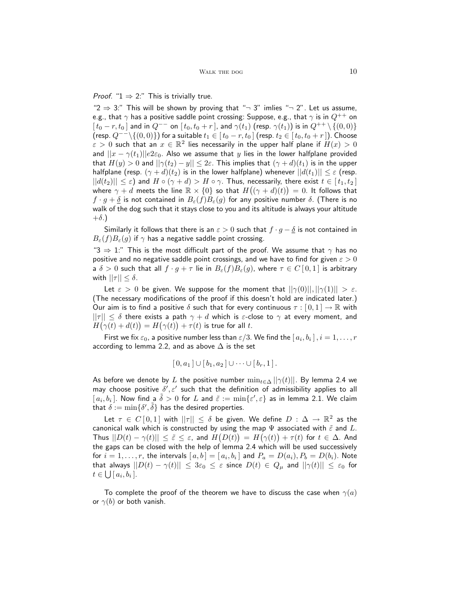## *Proof.* " $1 \Rightarrow 2$ :" This is trivially true.

" $2 \Rightarrow 3$ :" This will be shown by proving that " $\neg$  3" imlies " $\neg$  2". Let us assume, e.g., that  $\gamma$  has a positive saddle point crossing: Suppose, e.g., that  $\gamma$  is in  $Q^{++}$  on  $[t_0 - r, t_0]$  and in  $Q^{--}$  on  $[t_0, t_0 + r]$ , and  $\gamma(t_1)$  (resp.  $\gamma(t_1)$ ) is in  $Q^{++} \setminus \{(0, 0)\}$ (resp.  $Q^{--}\setminus\{(0,0)\}\)$  for a suitable  $t_1 \in [t_0 - r, t_0]$  (resp.  $t_2 \in [t_0, t_0 + r]$ ). Choose  $\epsilon > 0$  such that an  $x \in \mathbb{R}^2$  lies necessarily in the upper half plane if  $H(x) > 0$ and  $||x - \gamma(t_1)||e^{2\varepsilon_0}$ . Also we assume that y lies in the lower halfplane provided that  $H(y) > 0$  and  $||\gamma(t_2) - y|| \leq 2\varepsilon$ . This implies that  $(\gamma + d)(t_1)$  is in the upper halfplane (resp.  $(\gamma + d)(t_2)$  is in the lower halfplane) whenever  $||d(t_1)|| \leq \varepsilon$  (resp.  $||d(t_2)|| \leq \varepsilon$ ) and  $H \circ (\gamma + d) > H \circ \gamma$ . Thus, necessarily, there exist  $t \in [t_1, t_2]$ where  $\gamma + d$  meets the line  $\mathbb{R} \times \{0\}$  so that  $H((\gamma + d)(t)) = 0$ . It follows that  $f \cdot g + \underline{\delta}$  is not contained in  $B_{\varepsilon}(f)B_{\varepsilon}(g)$  for any positive number  $\delta$ . (There is no walk of the dog such that it stays close to you and its altitude is always your altitude  $+\delta$ .

Similarly it follows that there is an  $\varepsilon > 0$  such that  $f \cdot g - \underline{\delta}$  is not contained in  $B_{\varepsilon}(f)B_{\varepsilon}(g)$  if  $\gamma$  has a negative saddle point crossing.

"3  $\Rightarrow$  1:" This is the most difficult part of the proof. We assume that  $\gamma$  has no positive and no negative saddle point crossings, and we have to find for given  $\varepsilon > 0$ a  $\delta > 0$  such that all  $f \cdot g + \tau$  lie in  $B_{\varepsilon}(f)B_{\varepsilon}(g)$ , where  $\tau \in C[0,1]$  is arbitrary with  $||\tau|| \leq \delta$ .

Let  $\varepsilon > 0$  be given. We suppose for the moment that  $||\gamma(0)||, ||\gamma(1)|| > \varepsilon$ . (The necessary modifications of the proof if this doesn't hold are indicated later.) Our aim is to find a positive  $\delta$  such that for every continuous  $\tau : [0,1] \to \mathbb{R}$  with  $||\tau|| \leq \delta$  there exists a path  $\gamma + d$  which is  $\varepsilon$ -close to  $\gamma$  at every moment, and  $H(\gamma(t)+d(t)) = H(\gamma(t))+\tau(t)$  is true for all t.

First we fix  $\varepsilon_0$ , a positive number less than  $\varepsilon/3.$  We find the  $[\,a_i,b_i\,]$  ,  $i=1,\ldots,r$ according to lemma 2.2, and as above  $\Delta$  is the set

$$
[0,a_1] \cup [b_1,a_2] \cup \cdots \cup [b_r,1].
$$

As before we denote by L the positive number  $\min_{t \in \Delta} ||\gamma(t)||$ . By lemma 2.4 we may choose positive  $\delta', \varepsilon'$  such that the definition of admissibility applies to all  $[a_i, b_i]$ . Now find a  $\tilde{\delta} > 0$  for L and  $\tilde{\varepsilon} := \min\{\varepsilon', \varepsilon\}$  as in lemma 2.1. We claim that  $\delta := \min\{\delta', \tilde{\delta}\}$  has the desired properties.

Let  $\tau \in C[0,1]$  with  $||\tau|| \leq \delta$  be given. We define  $D: \Delta \to \mathbb{R}^2$  as the canonical walk which is constructed by using the map  $\Psi$  associated with  $\tilde{\varepsilon}$  and  $L$ . Thus  $||D(t) - \gamma(t)|| \leq \tilde{\varepsilon} \leq \varepsilon$ , and  $H(D(t)) = H(\gamma(t)) + \tau(t)$  for  $t \in \Delta$ . And the gaps can be closed with the help of lemma 2.4 which will be used successively for  $i=1,\ldots,r$ , the intervals  $[\,a,b\,]=[\,a_i,b_i\,]$  and  $P_a=D(a_i),P_b=D(b_i)$ . Note that always  $||D(t) - \gamma(t)|| \leq 3\varepsilon_0 \leq \varepsilon$  since  $D(t) \in Q_\mu$  and  $||\gamma(t)|| \leq \varepsilon_0$  for  $t \in \bigcup [a_i, b_i].$ 

To complete the proof of the theorem we have to discuss the case when  $\gamma(a)$ or  $\gamma(b)$  or both vanish.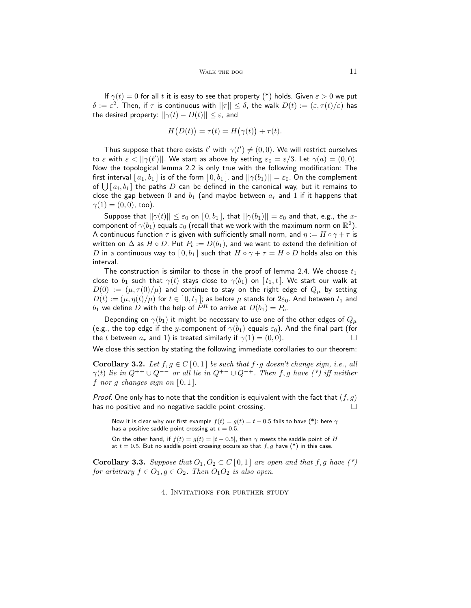If  $\gamma(t) = 0$  for all t it is easy to see that property (\*) holds. Given  $\varepsilon > 0$  we put  $\delta:=\varepsilon^2.$  Then, if  $\tau$  is continuous with  $||\tau||\leq \delta,$  the walk  $D(t):=(\varepsilon,\tau(t)/\varepsilon)$  has the desired property:  $||\gamma(t) - D(t)|| \leq \varepsilon$ , and

$$
H(D(t)) = \tau(t) = H(\gamma(t)) + \tau(t).
$$

Thus suppose that there exists  $t'$  with  $\gamma(t') \neq (0,0)$ . We will restrict ourselves to  $\varepsilon$  with  $\varepsilon < ||\gamma(t')||$ . We start as above by setting  $\varepsilon_0 = \varepsilon/3$ . Let  $\gamma(a) = (0,0)$ . Now the topological lemma 2.2 is only true with the following modification: The first interval  $[a_1, b_1]$  is of the form  $[0, b_1]$ , and  $||\gamma(b_1)|| = \varepsilon_0$ . On the complement of  $\bigcup [a_i, b_i]$  the paths  $D$  can be defined in the canonical way, but it remains to close the gap between 0 and  $b_1$  (and maybe between  $a_r$  and 1 if it happens that  $\gamma(1) = (0, 0)$ , too).

Suppose that  $||\gamma(t)|| \leq \varepsilon_0$  on  $[0, b_1]$ , that  $||\gamma(b_1)|| = \varepsilon_0$  and that, e.g., the xcomponent of  $\gamma(b_1)$  equals  $\varepsilon_0$  (recall that we work with the maximum norm on  $\mathbb{R}^2$ ). A continuous function  $\tau$  is given with sufficiently small norm, and  $\eta := H \circ \gamma + \tau$  is written on  $\Delta$  as  $H \circ D$ . Put  $P_b := D(b_1)$ , and we want to extend the definition of D in a continuous way to  $[0,b_1]$  such that  $H \circ \gamma + \tau = H \circ D$  holds also on this interval.

The construction is similar to those in the proof of lemma 2.4. We choose  $t_1$ close to  $b_1$  such that  $\gamma(t)$  stays close to  $\gamma(b_1)$  on  $[t_1, t]$ . We start our walk at  $D(0) := (\mu, \tau(0)/\mu)$  and continue to stay on the right edge of  $Q_{\mu}$  by setting  $D(t) := (\mu, \eta(t)/\mu)$  for  $t \in [0, t_1]$ ; as before  $\mu$  stands for  $2\varepsilon_0$ . And between  $t_1$  and  $b_1$  we define D with the help of  $\overrightarrow{P}^R$  to arrive at  $D(b_1) = P_b$ .

Depending on  $\gamma(b_1)$  it might be necessary to use one of the other edges of  $Q_\mu$ (e.g., the top edge if the y-component of  $\gamma(b_1)$  equals  $\varepsilon_0$ ). And the final part (for the t between  $a_r$  and 1) is treated similarly if  $\gamma(1) = (0, 0)$ .

We close this section by stating the following immediate corollaries to our theorem:

**Corollary 3.2.** Let  $f, g \in C[0,1]$  be such that  $f \cdot g$  doesn't change sign, i.e., all  $\gamma(t)$  lie in  $Q^{++} \cup Q^{--}$  or all lie in  $Q^{+-} \cup Q^{-+}$ . Then f, g have (\*) iff neither f nor g changes sign on  $[0,1]$ .

*Proof.* One only has to note that the condition is equivalent with the fact that  $(f, g)$ has no positive and no negative saddle point crossing.  $\Box$ 

Now it is clear why our first example  $f(t) = g(t) = t - 0.5$  fails to have (\*): here  $\gamma$ has a positive saddle point crossing at  $t = 0.5$ .

On the other hand, if  $f(t) = g(t) = |t - 0.5|$ , then  $\gamma$  meets the saddle point of H at  $t = 0.5$ . But no saddle point crossing occurs so that  $f, g$  have (\*) in this case.

**Corollary 3.3.** Suppose that  $O_1, O_2 \subset C[0,1]$  are open and that f, g have (\*) for arbitrary  $f \in O_1, g \in O_2$ . Then  $O_1O_2$  is also open.

4. Invitations for further study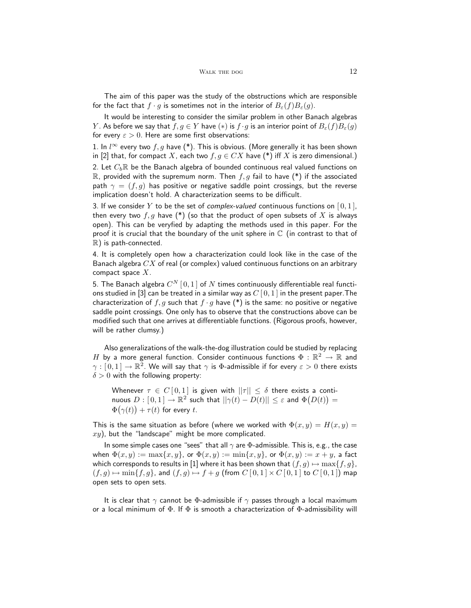The aim of this paper was the study of the obstructions which are responsible for the fact that  $f \cdot g$  is sometimes not in the interior of  $B_{\varepsilon}(f)B_{\varepsilon}(g)$ .

It would be interesting to consider the similar problem in other Banach algebras Y. As before we say that  $f, g \in Y$  have  $(*)$  is  $f \cdot g$  is an interior point of  $B_{\varepsilon}(f)B_{\varepsilon}(g)$ for every  $\varepsilon > 0$ . Here are some first observations:

1. In  $l^{\infty}$  every two  $f, g$  have (\*). This is obvious. (More generally it has been shown in [2] that, for compact X, each two  $f, g \in CX$  have (\*) iff X is zero dimensional.) 2. Let  $C_b\mathbb{R}$  be the Banach algebra of bounded continuous real valued functions on R, provided with the supremum norm. Then  $f, g$  fail to have (\*) if the associated

path  $\gamma = (f, g)$  has positive or negative saddle point crossings, but the reverse implication doesn't hold. A characterization seems to be difficult.

3. If we consider Y to be the set of complex-valued continuous functions on  $[0,1]$ , then every two  $f, g$  have (\*) (so that the product of open subsets of X is always open). This can be veryfied by adapting the methods used in this paper. For the proof it is crucial that the boundary of the unit sphere in  $\mathbb C$  (in contrast to that of R) is path-connected.

4. It is completely open how a characterization could look like in the case of the Banach algebra  $CX$  of real (or complex) valued continuous functions on an arbitrary compact space  $X$ .

5. The Banach algebra  $C^{N} \left[ \, 0,1 \right]$  of  $N$  times continuously differentiable real functions studied in [3] can be treated in a similar way as  $C[0,1]$  in the present paper. The characterization of f, g such that  $f \cdot g$  have  $(*)$  is the same: no positive or negative saddle point crossings. One only has to observe that the constructions above can be modified such that one arrives at differentiable functions. (Rigorous proofs, however, will be rather clumsy.)

Also generalizations of the walk-the-dog illustration could be studied by replacing H by a more general function. Consider continuous functions  $\Phi : \mathbb{R}^2 \to \mathbb{R}$  and  $\gamma: [0,1] \to \mathbb{R}^2.$  We will say that  $\gamma$  is  $\Phi$ -admissible if for every  $\varepsilon > 0$  there exists  $\delta > 0$  with the following property:

Whenever  $\tau \in C[0,1]$  is given with  $||\tau|| \leq \delta$  there exists a continuous  $D: [0,1] \to \mathbb{R}^2$  such that  $||\gamma(t) - D(t)|| \leq \varepsilon$  and  $\Phi(D(t)) =$  $\Phi(\gamma(t)) + \tau(t)$  for every t.

This is the same situation as before (where we worked with  $\Phi(x, y) = H(x, y) =$  $xy$ ), but the "landscape" might be more complicated.

In some simple cases one "sees" that all  $\gamma$  are  $\Phi$ -admissible. This is, e.g., the case when  $\Phi(x, y) := \max\{x, y\}$ , or  $\Phi(x, y) := \min\{x, y\}$ , or  $\Phi(x, y) := x + y$ , a fact which corresponds to results in [1] where it has been shown that  $(f, g) \mapsto \max\{f, g\},$  $(f, g) \mapsto \min\{f, g\}$ , and  $(f, g) \mapsto f + g$  (from  $C [0, 1] \times C [0, 1]$  to  $C [0, 1]$ ) map open sets to open sets.

It is clear that  $\gamma$  cannot be  $\Phi$ -admissible if  $\gamma$  passes through a local maximum or a local minimum of  $\Phi$ . If  $\Phi$  is smooth a characterization of  $\Phi$ -admissibility will